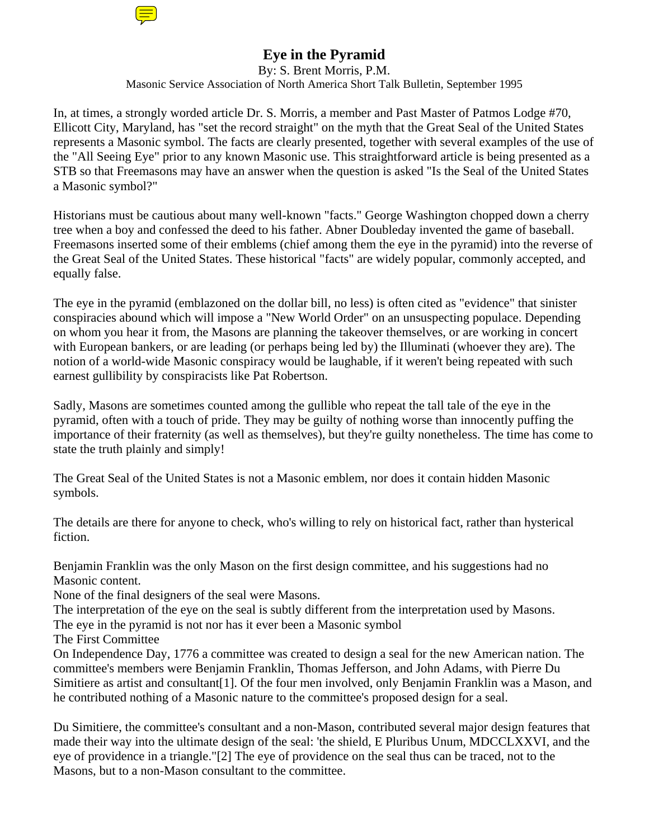

By: S. Brent Morris, P.M. Masonic Service Association of North America Short Talk Bulletin, September 1995

In, at times, a strongly worded article Dr. S. Morris, a member and Past Master of Patmos Lodge #70, Ellicott City, Maryland, has "set the record straight" on the myth that the Great Seal of the United States represents a Masonic symbol. The facts are clearly presented, together with several examples of the use of the "All Seeing Eye" prior to any known Masonic use. This straightforward article is being presented as a STB so that Freemasons may have an answer when the question is asked "Is the Seal of the United States a Masonic symbol?"

Historians must be cautious about many well-known "facts." George Washington chopped down a cherry tree when a boy and confessed the deed to his father. Abner Doubleday invented the game of baseball. Freemasons inserted some of their emblems (chief among them the eye in the pyramid) into the reverse of the Great Seal of the United States. These historical "facts" are widely popular, commonly accepted, and equally false.

The eye in the pyramid (emblazoned on the dollar bill, no less) is often cited as "evidence" that sinister conspiracies abound which will impose a "New World Order" on an unsuspecting populace. Depending on whom you hear it from, the Masons are planning the takeover themselves, or are working in concert with European bankers, or are leading (or perhaps being led by) the Illuminati (whoever they are). The notion of a world-wide Masonic conspiracy would be laughable, if it weren't being repeated with such earnest gullibility by conspiracists like Pat Robertson.

Sadly, Masons are sometimes counted among the gullible who repeat the tall tale of the eye in the pyramid, often with a touch of pride. They may be guilty of nothing worse than innocently puffing the importance of their fraternity (as well as themselves), but they're guilty nonetheless. The time has come to state the truth plainly and simply!

The Great Seal of the United States is not a Masonic emblem, nor does it contain hidden Masonic symbols.

The details are there for anyone to check, who's willing to rely on historical fact, rather than hysterical fiction.

Benjamin Franklin was the only Mason on the first design committee, and his suggestions had no Masonic content.

None of the final designers of the seal were Masons.

The interpretation of the eye on the seal is subtly different from the interpretation used by Masons. The eye in the pyramid is not nor has it ever been a Masonic symbol

The First Committee

On Independence Day, 1776 a committee was created to design a seal for the new American nation. The committee's members were Benjamin Franklin, Thomas Jefferson, and John Adams, with Pierre Du Simitiere as artist and consultant[1]. Of the four men involved, only Benjamin Franklin was a Mason, and he contributed nothing of a Masonic nature to the committee's proposed design for a seal.

Du Simitiere, the committee's consultant and a non-Mason, contributed several major design features that made their way into the ultimate design of the seal: 'the shield, E Pluribus Unum, MDCCLXXVI, and the eye of providence in a triangle."[2] The eye of providence on the seal thus can be traced, not to the Masons, but to a non-Mason consultant to the committee.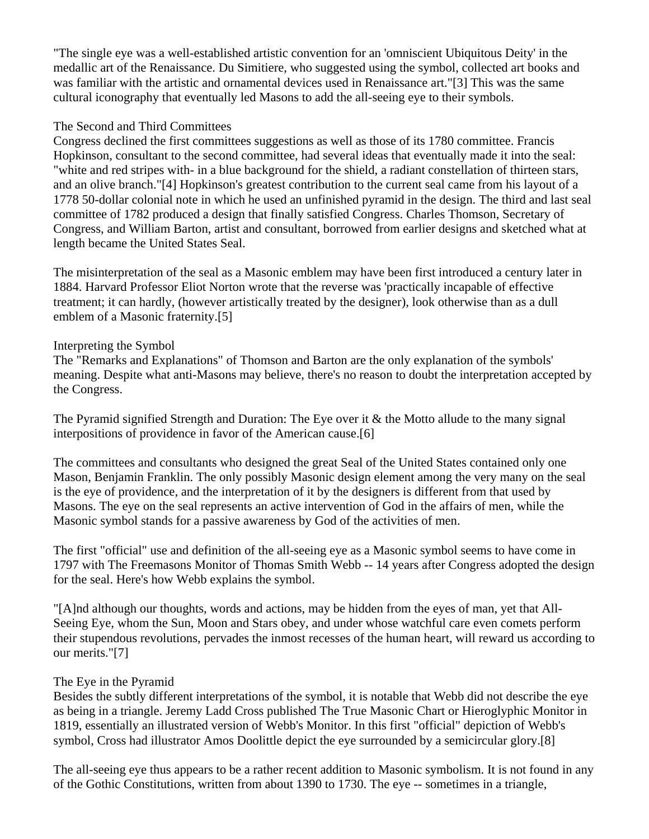"The single eye was a well-established artistic convention for an 'omniscient Ubiquitous Deity' in the medallic art of the Renaissance. Du Simitiere, who suggested using the symbol, collected art books and was familiar with the artistic and ornamental devices used in Renaissance art."[3] This was the same cultural iconography that eventually led Masons to add the all-seeing eye to their symbols.

## The Second and Third Committees

Congress declined the first committees suggestions as well as those of its 1780 committee. Francis Hopkinson, consultant to the second committee, had several ideas that eventually made it into the seal: "white and red stripes with- in a blue background for the shield, a radiant constellation of thirteen stars, and an olive branch."[4] Hopkinson's greatest contribution to the current seal came from his layout of a 1778 50-dollar colonial note in which he used an unfinished pyramid in the design. The third and last seal committee of 1782 produced a design that finally satisfied Congress. Charles Thomson, Secretary of Congress, and William Barton, artist and consultant, borrowed from earlier designs and sketched what at length became the United States Seal.

The misinterpretation of the seal as a Masonic emblem may have been first introduced a century later in 1884. Harvard Professor Eliot Norton wrote that the reverse was 'practically incapable of effective treatment; it can hardly, (however artistically treated by the designer), look otherwise than as a dull emblem of a Masonic fraternity.[5]

## Interpreting the Symbol

The "Remarks and Explanations" of Thomson and Barton are the only explanation of the symbols' meaning. Despite what anti-Masons may believe, there's no reason to doubt the interpretation accepted by the Congress.

The Pyramid signified Strength and Duration: The Eye over it & the Motto allude to the many signal interpositions of providence in favor of the American cause.[6]

The committees and consultants who designed the great Seal of the United States contained only one Mason, Benjamin Franklin. The only possibly Masonic design element among the very many on the seal is the eye of providence, and the interpretation of it by the designers is different from that used by Masons. The eye on the seal represents an active intervention of God in the affairs of men, while the Masonic symbol stands for a passive awareness by God of the activities of men.

The first "official" use and definition of the all-seeing eye as a Masonic symbol seems to have come in 1797 with The Freemasons Monitor of Thomas Smith Webb -- 14 years after Congress adopted the design for the seal. Here's how Webb explains the symbol.

"[A]nd although our thoughts, words and actions, may be hidden from the eyes of man, yet that All-Seeing Eye, whom the Sun, Moon and Stars obey, and under whose watchful care even comets perform their stupendous revolutions, pervades the inmost recesses of the human heart, will reward us according to our merits."[7]

## The Eye in the Pyramid

Besides the subtly different interpretations of the symbol, it is notable that Webb did not describe the eye as being in a triangle. Jeremy Ladd Cross published The True Masonic Chart or Hieroglyphic Monitor in 1819, essentially an illustrated version of Webb's Monitor. In this first "official" depiction of Webb's symbol, Cross had illustrator Amos Doolittle depict the eye surrounded by a semicircular glory.[8]

The all-seeing eye thus appears to be a rather recent addition to Masonic symbolism. It is not found in any of the Gothic Constitutions, written from about 1390 to 1730. The eye -- sometimes in a triangle,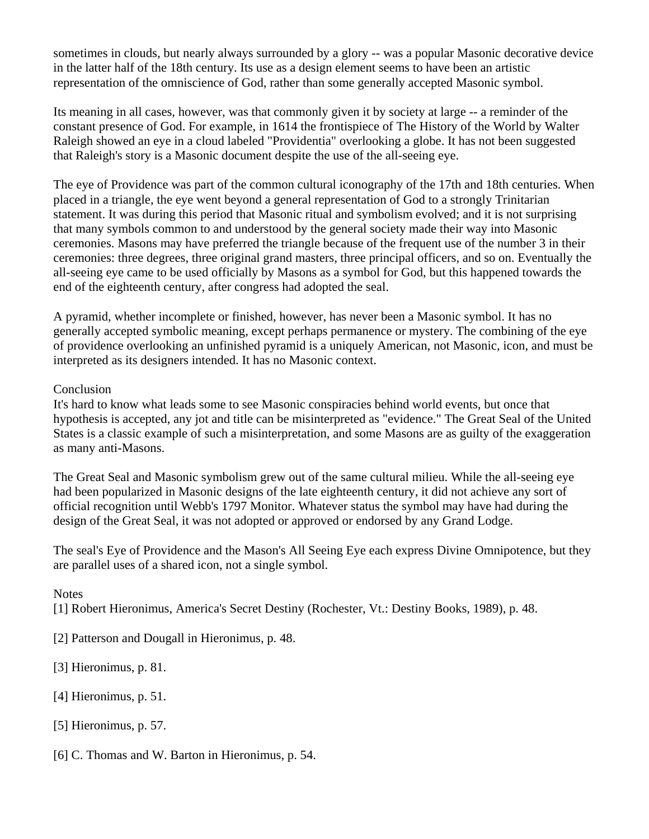sometimes in clouds, but nearly always surrounded by a glory -- was a popular Masonic decorative device in the latter half of the 18th century. Its use as a design element seems to have been an artistic representation of the omniscience of God, rather than some generally accepted Masonic symbol.

Its meaning in all cases, however, was that commonly given it by society at large -- a reminder of the constant presence of God. For example, in 1614 the frontispiece of The History of the World by Walter Raleigh showed an eye in a cloud labeled "Providentia" overlooking a globe. It has not been suggested that Raleigh's story is a Masonic document despite the use of the all-seeing eye.

The eye of Providence was part of the common cultural iconography of the 17th and 18th centuries. When placed in a triangle, the eye went beyond a general representation of God to a strongly Trinitarian statement. It was during this period that Masonic ritual and symbolism evolved; and it is not surprising that many symbols common to and understood by the general society made their way into Masonic ceremonies. Masons may have preferred the triangle because of the frequent use of the number 3 in their ceremonies: three degrees, three original grand masters, three principal officers, and so on. Eventually the all-seeing eye came to be used officially by Masons as a symbol for God, but this happened towards the end of the eighteenth century, after congress had adopted the seal.

A pyramid, whether incomplete or finished, however, has never been a Masonic symbol. It has no generally accepted symbolic meaning, except perhaps permanence or mystery. The combining of the eye of providence overlooking an unfinished pyramid is a uniquely American, not Masonic, icon, and must be interpreted as its designers intended. It has no Masonic context.

**Conclusion** 

It's hard to know what leads some to see Masonic conspiracies behind world events, but once that hypothesis is accepted, any jot and title can be misinterpreted as "evidence." The Great Seal of the United States is a classic example of such a misinterpretation, and some Masons are as guilty of the exaggeration as many anti-Masons.

The Great Seal and Masonic symbolism grew out of the same cultural milieu. While the all-seeing eye had been popularized in Masonic designs of the late eighteenth century, it did not achieve any sort of official recognition until Webb's 1797 Monitor. Whatever status the symbol may have had during the design of the Great Seal, it was not adopted or approved or endorsed by any Grand Lodge.

The seal's Eye of Providence and the Mason's All Seeing Eye each express Divine Omnipotence, but they are parallel uses of a shared icon, not a single symbol.

**Notes** 

[1] Robert Hieronimus, America's Secret Destiny (Rochester, Vt.: Destiny Books, 1989), p. 48.

[2] Patterson and Dougall in Hieronimus, p. 48.

[3] Hieronimus, p. 81.

[4] Hieronimus, p. 51.

[5] Hieronimus, p. 57.

[6] C. Thomas and W. Barton in Hieronimus, p. 54.